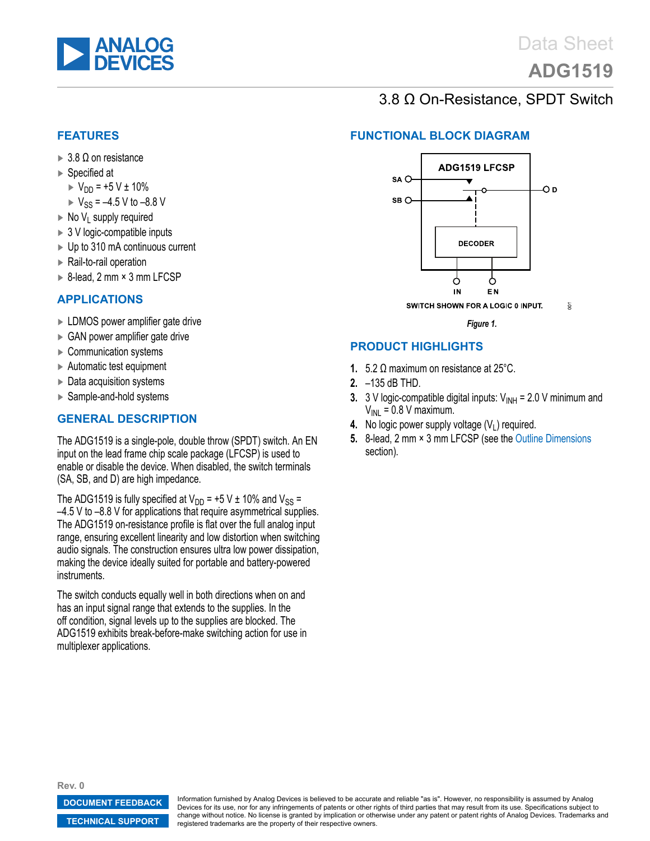<span id="page-0-0"></span>

# **[ADG1519](http://www.analog.com/ADG1519)**

## 3.8 Ω On-Resistance, SPDT Switch

#### **FEATURES**

- $\blacktriangleright$  3.8  $\Omega$  on resistance
- ► Specified at
	- $V_{DD} = +5 V \pm 10\%$
	- $V_{SS} = -4.5 V$  to  $-8.8 V$
- $\triangleright$  No V<sub>1</sub> supply required
- ► 3 V logic-compatible inputs
- ► Up to 310 mA continuous current
- ► Rail-to-rail operation
- ► 8-lead, 2 mm × 3 mm LFCSP

#### **APPLICATIONS**

- ► LDMOS power amplifier gate drive
- ► GAN power amplifier gate drive
- ► Communication systems
- ► Automatic test equipment
- ► Data acquisition systems
- ► Sample-and-hold systems

#### **GENERAL DESCRIPTION**

The ADG1519 is a single-pole, double throw (SPDT) switch. An EN input on the lead frame chip scale package (LFCSP) is used to enable or disable the device. When disabled, the switch terminals (SA, SB, and D) are high impedance.

The ADG1519 is fully specified at  $V_{DD}$  = +5 V ± 10% and  $V_{SS}$  = –4.5 V to –8.8 V for applications that require asymmetrical supplies. The ADG1519 on-resistance profile is flat over the full analog input range, ensuring excellent linearity and low distortion when switching audio signals. The construction ensures ultra low power dissipation, making the device ideally suited for portable and battery-powered instruments.

The switch conducts equally well in both directions when on and has an input signal range that extends to the supplies. In the off condition, signal levels up to the supplies are blocked. The ADG1519 exhibits break-before-make switching action for use in multiplexer applications.

#### **FUNCTIONAL BLOCK DIAGRAM**



*Figure 1.*

#### **PRODUCT HIGHLIGHTS**

- **1.** 5.2 Ω maximum on resistance at 25°C.
- **2.** –135 dB THD.
- **3.** 3 V logic-compatible digital inputs:  $V_{INH} = 2.0 V$  minimum and  $V_{\text{INI}} = 0.8 \text{ V}$  maximum.
- **4.** No logic power supply voltage  $(V_1)$  required.
- **5.** 8-lead, 2 mm × 3 mm LFCSP (see the [Outline Dimensions](#page-14-0) section).

**Rev. 0**

**[DOCUMENT FEEDBACK](https://form.analog.com/Form_Pages/feedback/documentfeedback.aspx?doc=ADG1519.pdf&product=ADG1519&rev=0)**

**[TECHNICAL SUPPORT](http://www.analog.com/en/content/technical_support_page/fca.html)**

Information furnished by Analog Devices is believed to be accurate and reliable "as is". However, no responsibility is assumed by Analog Devices for its use, nor for any infringements of patents or other rights of third parties that may result from its use. Specifications subject to change without notice. No license is granted by implication or otherwise under any patent or patent rights of Analog Devices. Trademarks and registered trademarks are the property of their respective owners.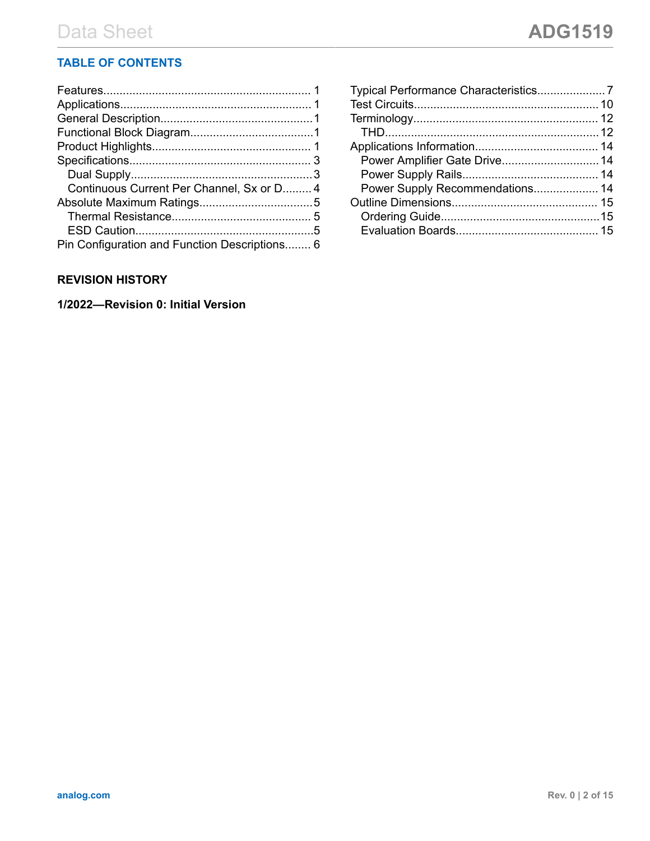### **TABLE OF CONTENTS**

| Continuous Current Per Channel, Sx or D 4     |  |
|-----------------------------------------------|--|
|                                               |  |
|                                               |  |
|                                               |  |
| Pin Configuration and Function Descriptions 6 |  |

#### **REVISION HISTORY**

**1/2022—Revision 0: Initial Version**

| Power Amplifier Gate Drive 14   |  |
|---------------------------------|--|
|                                 |  |
| Power Supply Recommendations 14 |  |
|                                 |  |
|                                 |  |
|                                 |  |
|                                 |  |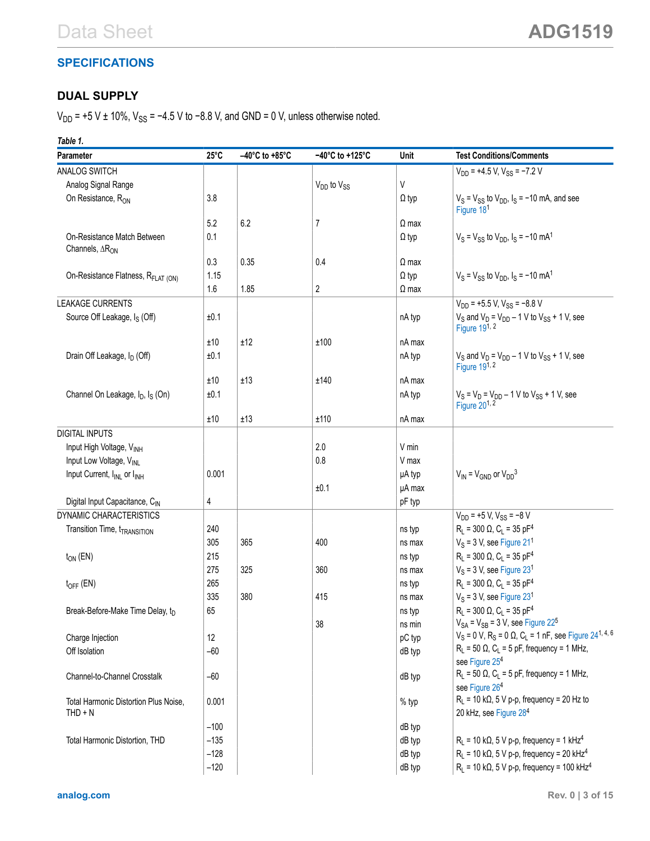## <span id="page-2-0"></span>**SPECIFICATIONS**

## **DUAL SUPPLY**

 $V_{DD}$  = +5 V ± 10%,  $V_{SS}$  = −4.5 V to −8.8 V, and GND = 0 V, unless otherwise noted.

*Table 1.*

| Parameter<br>$25^{\circ}$ C<br>$-40^{\circ}$ C to +85 $^{\circ}$ C<br>$-40^{\circ}$ C to $+125^{\circ}$ C<br>Unit<br><b>Test Conditions/Comments</b>    |  |
|---------------------------------------------------------------------------------------------------------------------------------------------------------|--|
| ANALOG SWITCH<br>$V_{DD}$ = +4.5 V, $V_{SS}$ = -7.2 V                                                                                                   |  |
| $\sf V$<br>Analog Signal Range<br>$V_{DD}$ to $V_{SS}$                                                                                                  |  |
| On Resistance, R <sub>ON</sub><br>3.8<br>$V_S = V_{SS}$ to $V_{DD}$ , $I_S = -10$ mA, and see<br>$\Omega$ typ<br>Figure 18 <sup>1</sup>                 |  |
| 5.2<br>6.2<br>7<br>$\Omega$ max                                                                                                                         |  |
| $V_S = V_{SS}$ to $V_{DD}$ , $I_S = -10$ mA <sup>1</sup><br>On-Resistance Match Between<br>0.1<br>$\Omega$ typ<br>Channels, $\Delta R_{ON}$             |  |
| 0.3<br>0.35<br>0.4<br>$\Omega$ max                                                                                                                      |  |
| $V_S = V_{SS}$ to $V_{DD}$ , $I_S = -10$ mA <sup>1</sup><br>On-Resistance Flatness, R <sub>FLAT (ON)</sub><br>1.15<br>$\Omega$ typ                      |  |
| 2<br>1.6<br>1.85<br>$\Omega$ max                                                                                                                        |  |
| $V_{DD}$ = +5.5 V, $V_{SS}$ = -8.8 V<br><b>LEAKAGE CURRENTS</b>                                                                                         |  |
| $V_S$ and $V_D$ = $V_{DD}$ – 1 V to $V_{SS}$ + 1 V, see<br>Source Off Leakage, I <sub>S</sub> (Off)<br>±0.1<br>nA typ<br>Figure 19 <sup>1, 2</sup>      |  |
| ±10<br>±12<br>±100<br>nA max                                                                                                                            |  |
| Drain Off Leakage, I <sub>D</sub> (Off)<br>$V_S$ and $V_D$ = $V_{DD}$ – 1 V to $V_{SS}$ + 1 V, see<br>±0.1<br>nA typ<br>Figure $191, 2$                 |  |
| ±10<br>±13<br>±140<br>nA max                                                                                                                            |  |
| Channel On Leakage, I <sub>D</sub> , I <sub>S</sub> (On)<br>±0.1<br>nA typ<br>$V_S = V_D = V_{DD} - 1$ V to $V_{SS} + 1$ V, see<br>Figure $20^{1, 2}$   |  |
| ±10<br>±13<br>±110<br>nA max                                                                                                                            |  |
| <b>DIGITAL INPUTS</b>                                                                                                                                   |  |
| 2.0<br>V min<br>Input High Voltage, VINH                                                                                                                |  |
| Input Low Voltage, VINL<br>0.8<br>V max                                                                                                                 |  |
| $V_{IN} = V_{GND}$ or $V_{DD}^3$<br>Input Current, I <sub>INL</sub> or I <sub>INH</sub><br>0.001<br>µA typ                                              |  |
| µA max<br>±0.1                                                                                                                                          |  |
| Digital Input Capacitance, CIN<br>4<br>pF typ                                                                                                           |  |
| DYNAMIC CHARACTERISTICS<br>$V_{DD}$ = +5 V, $V_{SS}$ = -8 V                                                                                             |  |
| $R_1 = 300 \Omega$ , C <sub>1</sub> = 35 pF <sup>4</sup><br>240<br>Transition Time, t <sub>TRANSITION</sub><br>ns typ                                   |  |
| $V_S$ = 3 V, see Figure 21 <sup>1</sup><br>305<br>365<br>400<br>ns max                                                                                  |  |
| $R_L$ = 300 $\Omega$ , $C_L$ = 35 pF <sup>4</sup><br>215<br>$t_{ON}$ (EN)<br>ns typ                                                                     |  |
| $V_S$ = 3 V, see Figure 23 <sup>1</sup><br>275<br>325<br>360<br>ns max                                                                                  |  |
| $R_1 = 300 \Omega$ , C <sub>1</sub> = 35 pF <sup>4</sup><br>265<br>$t_{OFF}$ (EN)<br>ns typ                                                             |  |
| $V_S$ = 3 V, see Figure 23 <sup>1</sup><br>335<br>380<br>415<br>ns max                                                                                  |  |
| $R_1 = 300 \Omega$ , C <sub>1</sub> = 35 pF <sup>4</sup><br>65<br>Break-Before-Make Time Delay, t <sub>D</sub><br>ns typ                                |  |
| $V_{SA}$ = $V_{SB}$ = 3 V, see Figure 22 <sup>5</sup><br>38<br>ns min                                                                                   |  |
| $V_S$ = 0 V, R <sub>S</sub> = 0 Ω, C <sub>L</sub> = 1 nF, see Figure 24 <sup>1, 4, 6</sup><br>Charge Injection<br>12<br>pC typ                          |  |
| $R_L$ = 50 $\Omega$ , C <sub>L</sub> = 5 pF, frequency = 1 MHz,<br>Off Isolation<br>dB typ<br>$-60$<br>see Figure 25 <sup>4</sup>                       |  |
| $R_L$ = 50 $\Omega$ , $C_L$ = 5 pF, frequency = 1 MHz,<br>Channel-to-Channel Crosstalk<br>$-60$<br>dB typ<br>see Figure 26 <sup>4</sup>                 |  |
| $R_L$ = 10 k $\Omega$ , 5 V p-p, frequency = 20 Hz to<br>Total Harmonic Distortion Plus Noise,<br>0.001<br>% typ<br>20 kHz, see Figure 284<br>$THD + N$ |  |
| $-100$<br>dB typ                                                                                                                                        |  |
|                                                                                                                                                         |  |
| $R_L$ = 10 k $\Omega$ , 5 V p-p, frequency = 1 kHz <sup>4</sup><br>Total Harmonic Distortion, THD<br>$-135$<br>dB typ                                   |  |
| $-128$<br>$R_L$ = 10 k $\Omega$ , 5 V p-p, frequency = 20 kHz <sup>4</sup><br>dB typ                                                                    |  |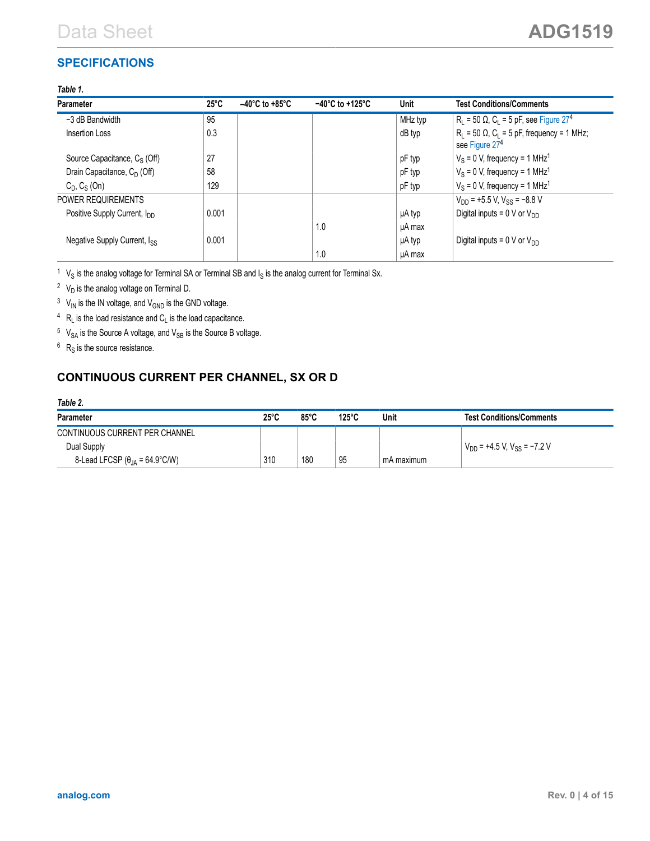### <span id="page-3-0"></span>**SPECIFICATIONS**

#### *Table 1.*

| <b>Parameter</b>                         | $25^{\circ}$ C | $-40^{\circ}$ C to +85 $^{\circ}$ C | $-40^{\circ}$ C to +125 $^{\circ}$ C | Unit    | <b>Test Conditions/Comments</b>                                                      |
|------------------------------------------|----------------|-------------------------------------|--------------------------------------|---------|--------------------------------------------------------------------------------------|
| -3 dB Bandwidth                          | 95             |                                     |                                      | MHz typ | $R_L$ = 50 Ω, C <sub>L</sub> = 5 pF, see Figure 27 <sup>4</sup>                      |
| Insertion Loss                           | 0.3            |                                     |                                      | dB typ  | $R_L$ = 50 $\Omega$ , $C_L$ = 5 pF, frequency = 1 MHz;<br>see Figure 27 <sup>4</sup> |
| Source Capacitance, $C_S$ (Off)          | 27             |                                     |                                      | pF typ  | $V_S = 0$ V, frequency = 1 MHz <sup>1</sup>                                          |
| Drain Capacitance, $C_D$ (Off)           | 58             |                                     |                                      | pF typ  | $V_S = 0$ V, frequency = 1 MHz <sup>1</sup>                                          |
| $C_D$ , $C_S$ (On)                       | 129            |                                     |                                      | pF typ  | $V_S = 0$ V, frequency = 1 MHz <sup>1</sup>                                          |
| <b>POWER REQUIREMENTS</b>                |                |                                     |                                      |         | $V_{DD}$ = +5.5 V, V <sub>SS</sub> = -8.8 V                                          |
| Positive Supply Current, I <sub>DD</sub> | 0.001          |                                     |                                      | µA typ  | Digital inputs = $0 \text{ V}$ or $V_{DD}$                                           |
|                                          |                |                                     | 1.0                                  | µA max  |                                                                                      |
| Negative Supply Current, $I_{SS}$        | 0.001          |                                     |                                      | µA typ  | Digital inputs = $0 \text{ V}$ or $V_{DD}$                                           |
|                                          |                |                                     | 1.0                                  | uA max  |                                                                                      |

 $1 \,$  V<sub>S</sub> is the analog voltage for Terminal SA or Terminal SB and  $I_S$  is the analog current for Terminal Sx.

 $2$  V<sub>D</sub> is the analog voltage on Terminal D.

 $3$  V<sub>IN</sub> is the IN voltage, and V<sub>GND</sub> is the GND voltage.

- $4$  R<sub>L</sub> is the load resistance and C<sub>L</sub> is the load capacitance.
- $5$  V<sub>SA</sub> is the Source A voltage, and V<sub>SB</sub> is the Source B voltage.
- $6$  R<sub>S</sub> is the source resistance.

## **CONTINUOUS CURRENT PER CHANNEL, SX OR D**

| Table 2.                                 |                |                |                 |            |                                             |
|------------------------------------------|----------------|----------------|-----------------|------------|---------------------------------------------|
| <b>Parameter</b>                         | $25^{\circ}$ C | $85^{\circ}$ C | $125^{\circ}$ C | Unit       | <b>Test Conditions/Comments</b>             |
| CONTINUOUS CURRENT PER CHANNEL           |                |                |                 |            |                                             |
| Dual Supply                              |                |                |                 |            | $V_{DD}$ = +4.5 V, V <sub>SS</sub> = -7.2 V |
| 8-Lead LFCSP ( $\theta_{JA}$ = 64.9°C/W) | 310            | 180            | 95              | mA maximum |                                             |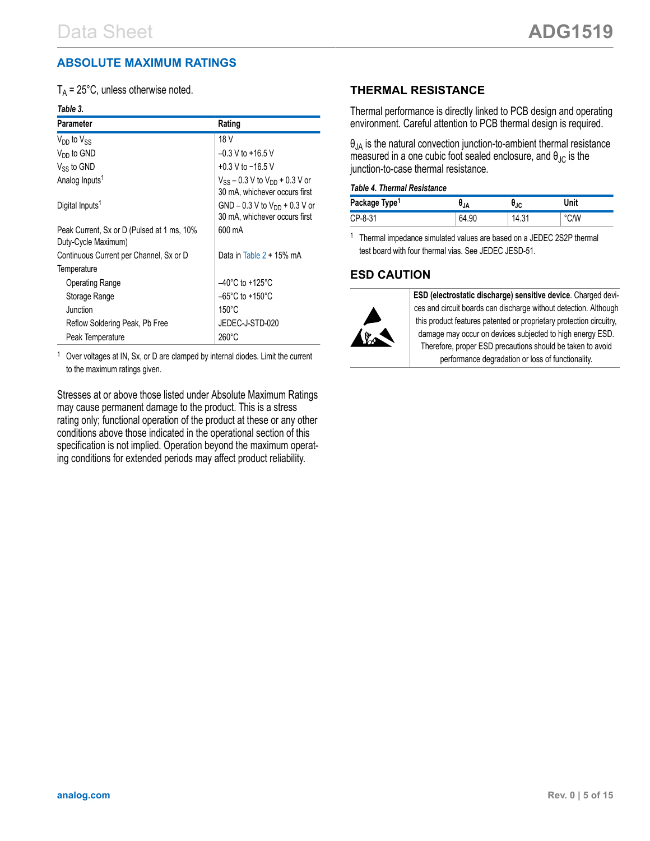#### <span id="page-4-0"></span>**ABSOLUTE MAXIMUM RATINGS**

 $T_A$  = 25°C, unless otherwise noted.

#### *Table 3.*

| <b>Parameter</b>                                                  | Rating                                                                   |
|-------------------------------------------------------------------|--------------------------------------------------------------------------|
| $V_{DD}$ to $V_{SS}$                                              | 18 V                                                                     |
| $V_{DD}$ to GND                                                   | $-0.3$ V to +16.5 V                                                      |
| $V_{SS}$ to GND                                                   | +0.3 V to $-16.5$ V                                                      |
| Analog Inputs <sup>1</sup>                                        | $V_{SS}$ – 0.3 V to $V_{DD}$ + 0.3 V or<br>30 mA, whichever occurs first |
| Digital Inputs <sup>1</sup>                                       | GND – 0.3 V to $V_{DD}$ + 0.3 V or<br>30 mA, whichever occurs first      |
| Peak Current, Sx or D (Pulsed at 1 ms, 10%<br>Duty-Cycle Maximum) | 600 mA                                                                   |
| Continuous Current per Channel, Sx or D                           | Data in Table $2 + 15\%$ mA                                              |
| Temperature                                                       |                                                                          |
| <b>Operating Range</b>                                            | $-40^{\circ}$ C to +125 $^{\circ}$ C                                     |
| Storage Range                                                     | $-65^{\circ}$ C to +150 $^{\circ}$ C                                     |
| Junction                                                          | $150^{\circ}$ C                                                          |
| Reflow Soldering Peak, Pb Free                                    | JEDEC-J-STD-020                                                          |
| Peak Temperature                                                  | $260^{\circ}$ C                                                          |

Over voltages at IN, Sx, or D are clamped by internal diodes. Limit the current to the maximum ratings given.

Stresses at or above those listed under Absolute Maximum Ratings may cause permanent damage to the product. This is a stress rating only; functional operation of the product at these or any other conditions above those indicated in the operational section of this specification is not implied. Operation beyond the maximum operating conditions for extended periods may affect product reliability.

#### **THERMAL RESISTANCE**

Thermal performance is directly linked to PCB design and operating environment. Careful attention to PCB thermal design is required.

 $\theta_{JA}$  is the natural convection junction-to-ambient thermal resistance measured in a one cubic foot sealed enclosure, and  $\theta_{\text{JC}}$  is the junction-to-case thermal resistance.

#### *Table 4. Thermal Resistance*

| Package Type <sup>1</sup> | 'JΑ   | $\overline{ }$<br>'JC | Unit |
|---------------------------|-------|-----------------------|------|
| CP-8-31                   | 54.90 | $1 + 0.$              |      |

<sup>1</sup> Thermal impedance simulated values are based on a JEDEC 2S2P thermal test board with four thermal vias. See JEDEC JESD-51.

#### **ESD CAUTION**



**ESD (electrostatic discharge) sensitive device**. Charged devices and circuit boards can discharge without detection. Although this product features patented or proprietary protection circuitry, damage may occur on devices subjected to high energy ESD. Therefore, proper ESD precautions should be taken to avoid performance degradation or loss of functionality.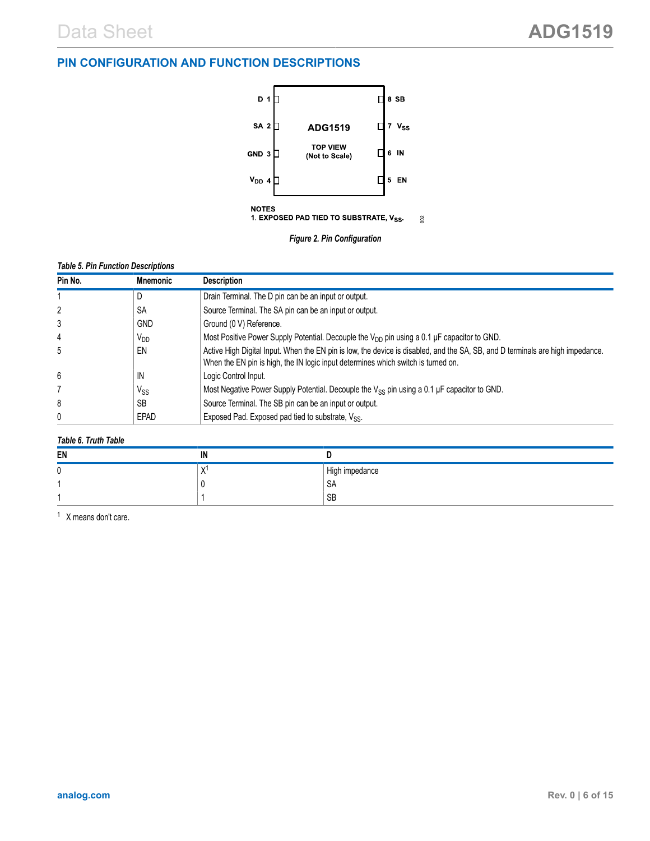#### <span id="page-5-0"></span>**PIN CONFIGURATION AND FUNCTION DESCRIPTIONS**





#### *Table 5. Pin Function Descriptions*

| Pin No. | <b>Mnemonic</b> | <b>Description</b>                                                                                                                                                                                                  |
|---------|-----------------|---------------------------------------------------------------------------------------------------------------------------------------------------------------------------------------------------------------------|
|         | D               | Drain Terminal. The D pin can be an input or output.                                                                                                                                                                |
| 2       | SΑ              | Source Terminal. The SA pin can be an input or output.                                                                                                                                                              |
| 3       | <b>GND</b>      | Ground (0 V) Reference.                                                                                                                                                                                             |
| 4       | $V_{DD}$        | Most Positive Power Supply Potential. Decouple the $V_{DD}$ pin using a 0.1 µF capacitor to GND.                                                                                                                    |
| 5       | EN              | Active High Digital Input. When the EN pin is low, the device is disabled, and the SA, SB, and D terminals are high impedance.<br>When the EN pin is high, the IN logic input determines which switch is turned on. |
| 6       | IN              | Logic Control Input.                                                                                                                                                                                                |
|         | $V_{SS}$        | Most Negative Power Supply Potential. Decouple the $V_{SS}$ pin using a 0.1 µF capacitor to GND.                                                                                                                    |
| 8       | <b>SB</b>       | Source Terminal. The SB pin can be an input or output.                                                                                                                                                              |
| 0       | EPAD            | Exposed Pad. Exposed pad tied to substrate, $V_{SS}$ .                                                                                                                                                              |

#### *Table 6. Truth Table*

| EN | IN |                |
|----|----|----------------|
|    |    | High impedance |
|    |    | OН             |
|    |    | SB             |

<sup>1</sup> X means don't care.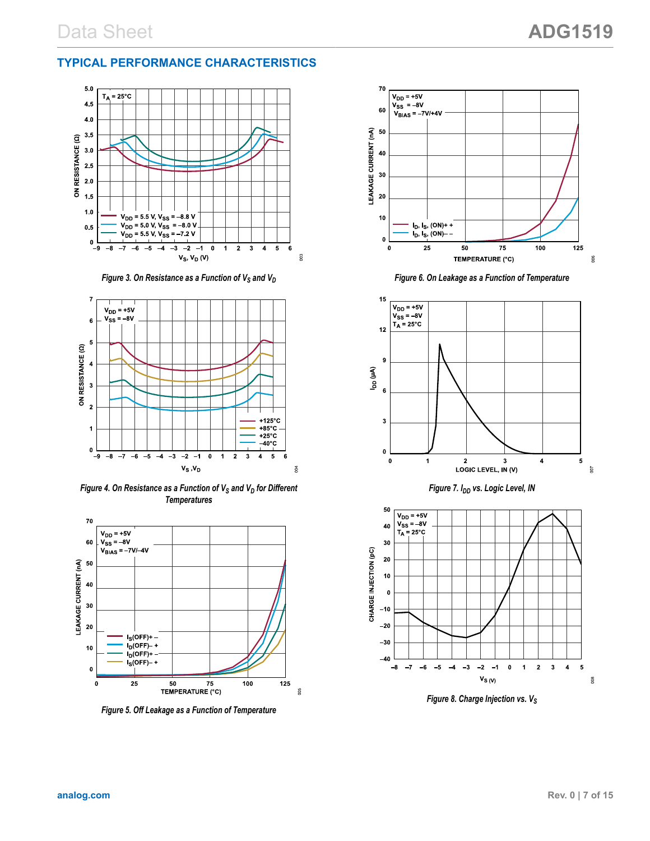#### <span id="page-6-0"></span>**TYPICAL PERFORMANCE CHARACTERISTICS**



*Figure 3. On Resistance as a Function of V<sub>S</sub> and V<sub>D</sub>* 



*Figure 4. On Resistance as a Function of V<sup>S</sup> and V<sup>D</sup> for Different Temperatures*



*Figure 5. Off Leakage as a Function of Temperature*



*Figure 6. On Leakage as a Function of Temperature*



*Figure 7. IDD vs. Logic Level, IN*



*Figure 8. Charge Injection vs. VS*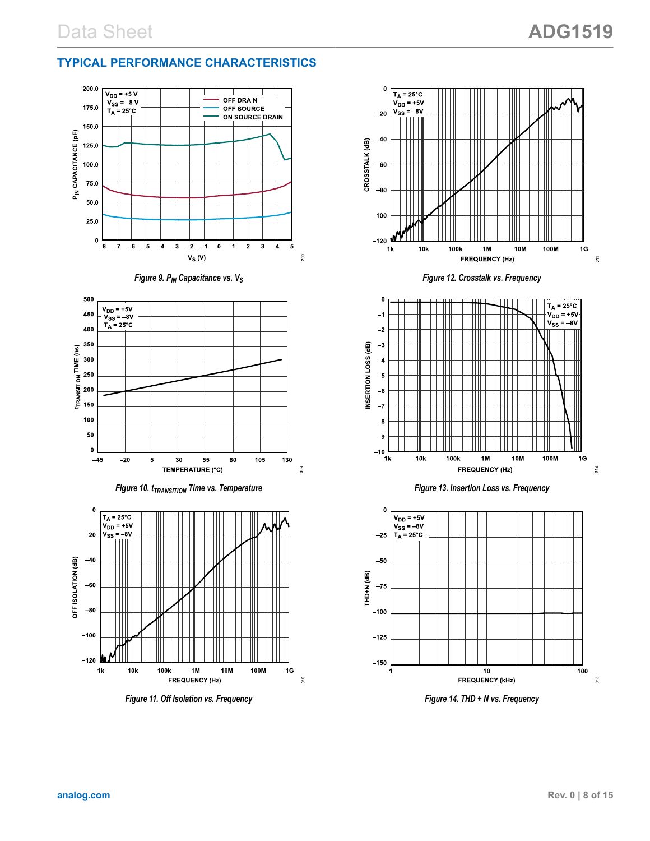## **TYPICAL PERFORMANCE CHARACTERISTICS**











*Figure 11. Off Isolation vs. Frequency*



*Figure 12. Crosstalk vs. Frequency*







*Figure 14. THD + N vs. Frequency*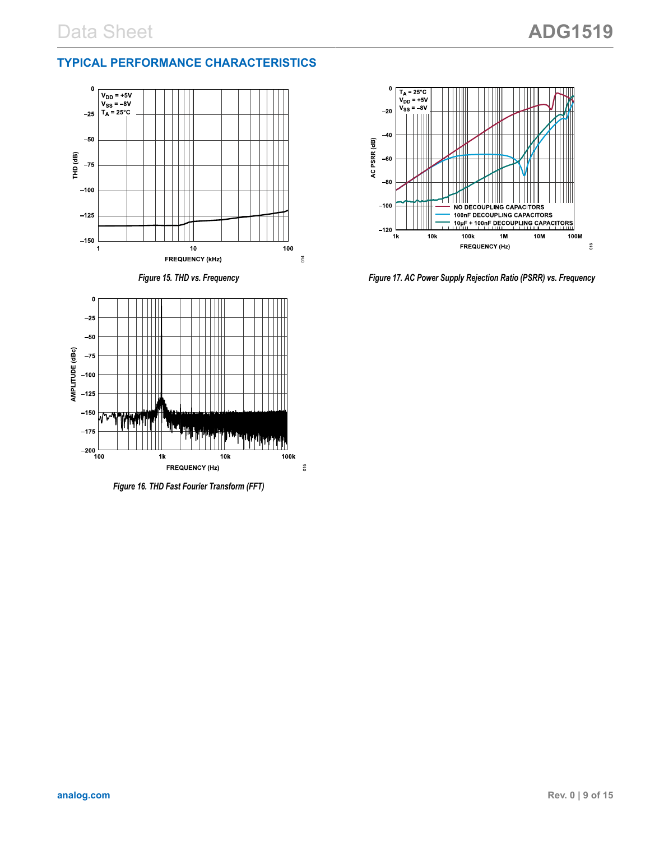#### <span id="page-8-0"></span>**TYPICAL PERFORMANCE CHARACTERISTICS**







*Figure 16. THD Fast Fourier Transform (FFT)*



*Figure 17. AC Power Supply Rejection Ratio (PSRR) vs. Frequency*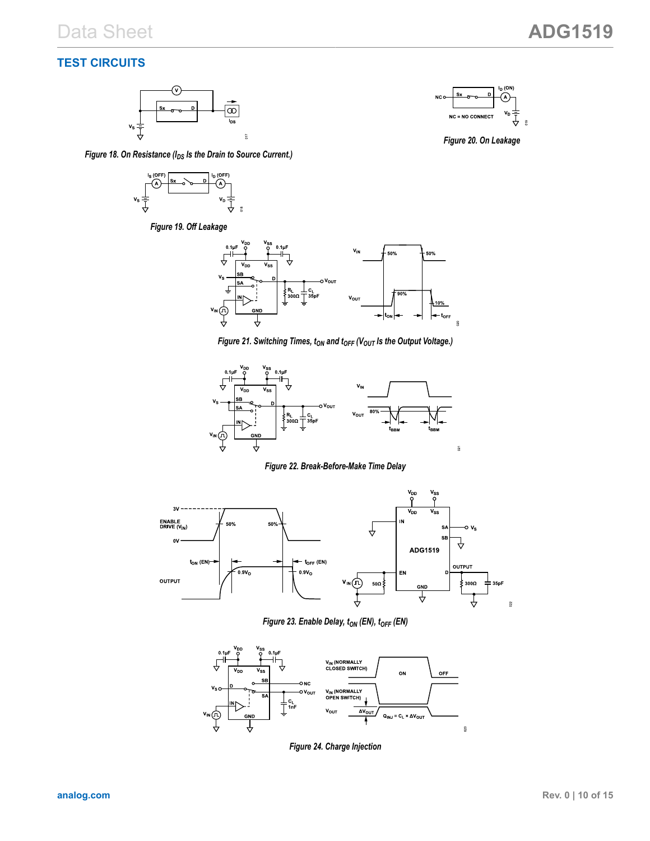## <span id="page-9-0"></span>**TEST CIRCUITS**



*Figure 18. On Resistance (IDS Is the Drain to Source Current.)*



*Figure 19. Off Leakage*



*Figure 20. On Leakage*



*Figure 21. Switching Times,*  $t_{ON}$  *and*  $t_{OFF}$  *(V<sub>OUT</sub> is the Output Voltage.)* 



#### *Figure 22. Break-Before-Make Time Delay*



*Figure 23. Enable Delay, tON (EN), tOFF (EN)*



*Figure 24. Charge Injection*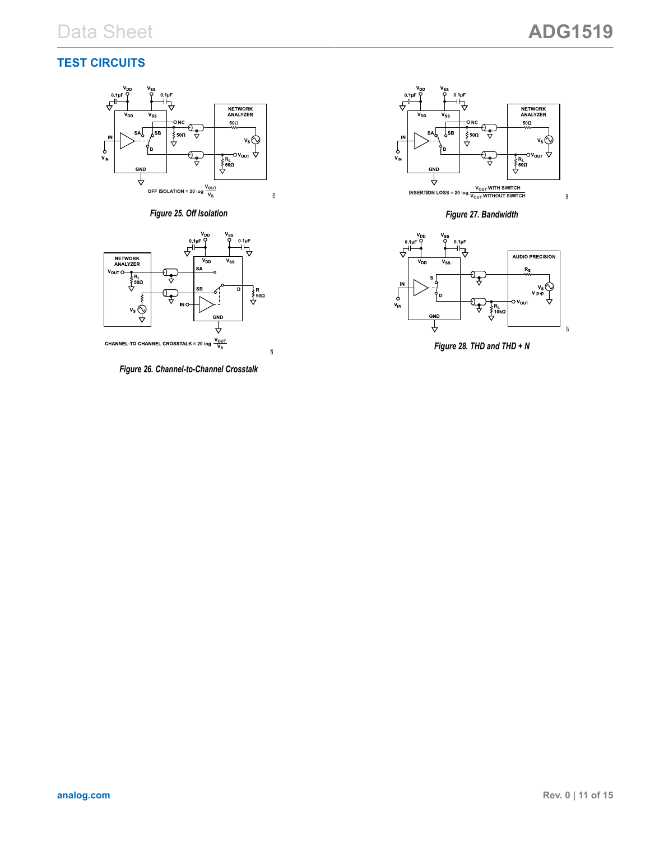#### <span id="page-10-0"></span>**TEST CIRCUITS**



*Figure 25. Off Isolation*



**CHANNEL-TO-CHANNEL CROSSTALK = 20 log**  $\frac{V_{\text{OUT}}}{V_{\text{S}}}$ 

*Figure 26. Channel-to-Channel Crosstalk*

 $026$ 



*Figure 27. Bandwidth*



*Figure 28. THD and THD + N*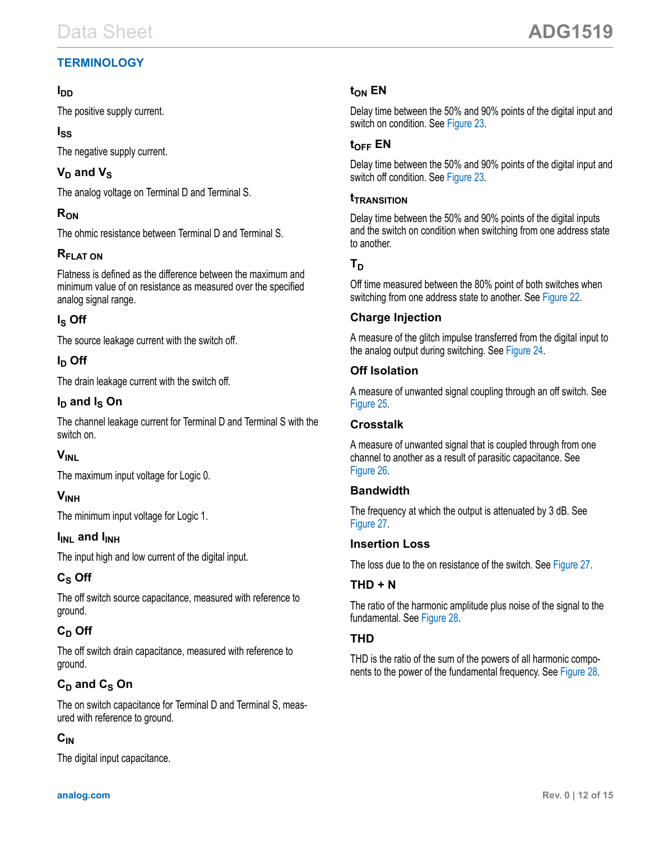## <span id="page-11-0"></span>**TERMINOLOGY**

### **IDD**

The positive supply current.

## **ISS**

The negative supply current.

## $V_D$  and  $V_S$

The analog voltage on Terminal D and Terminal S.

## **RON**

The ohmic resistance between Terminal D and Terminal S.

## **RFLAT ON**

Flatness is defined as the difference between the maximum and minimum value of on resistance as measured over the specified analog signal range.

## **IS Off**

The source leakage current with the switch off.

## **ID Off**

The drain leakage current with the switch off.

## **ID and IS On**

The channel leakage current for Terminal D and Terminal S with the switch on.

## **VINL**

The maximum input voltage for Logic 0.

## **VINH**

The minimum input voltage for Logic 1.

## **IINL** and **IINH**

The input high and low current of the digital input.

## **CS Off**

The off switch source capacitance, measured with reference to ground.

## **CD Off**

The off switch drain capacitance, measured with reference to ground.

## **CD and CS On**

The on switch capacitance for Terminal D and Terminal S, measured with reference to ground.

## **CIN**

The digital input capacitance.

## **tON EN**

Delay time between the 50% and 90% points of the digital input and switch on condition. See [Figure 23](#page-9-0).

## **tOFF EN**

Delay time between the 50% and 90% points of the digital input and switch off condition. See [Figure 23](#page-9-0).

### **tTRANSITION**

Delay time between the 50% and 90% points of the digital inputs and the switch on condition when switching from one address state to another.

## $T<sub>D</sub>$

Off time measured between the 80% point of both switches when switching from one address state to another. See [Figure 22](#page-9-0).

## **Charge Injection**

A measure of the glitch impulse transferred from the digital input to the analog output during switching. See [Figure 24.](#page-9-0)

## **Off Isolation**

A measure of unwanted signal coupling through an off switch. See [Figure 25.](#page-10-0)

#### **Crosstalk**

A measure of unwanted signal that is coupled through from one channel to another as a result of parasitic capacitance. See [Figure 26.](#page-10-0)

#### **Bandwidth**

The frequency at which the output is attenuated by 3 dB. See [Figure 27.](#page-10-0)

#### **Insertion Loss**

The loss due to the on resistance of the switch. See [Figure 27](#page-10-0).

## **THD + N**

The ratio of the harmonic amplitude plus noise of the signal to the fundamental. See [Figure 28.](#page-10-0)

#### **THD**

THD is the ratio of the sum of the powers of all harmonic components to the power of the fundamental frequency. See [Figure 28](#page-10-0).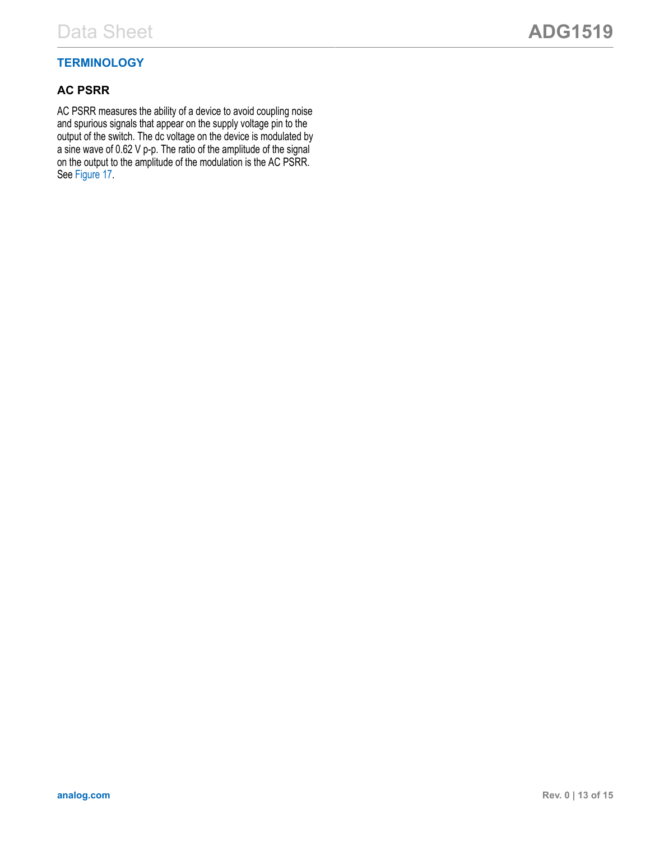### **TERMINOLOGY**

#### **AC PSRR**

AC PSRR measures the ability of a device to avoid coupling noise and spurious signals that appear on the supply voltage pin to the output of the switch. The dc voltage on the device is modulated by a sine wave of 0.62 V p-p. The ratio of the amplitude of the signal on the output to the amplitude of the modulation is the AC PSRR. See [Figure 17.](#page-8-0)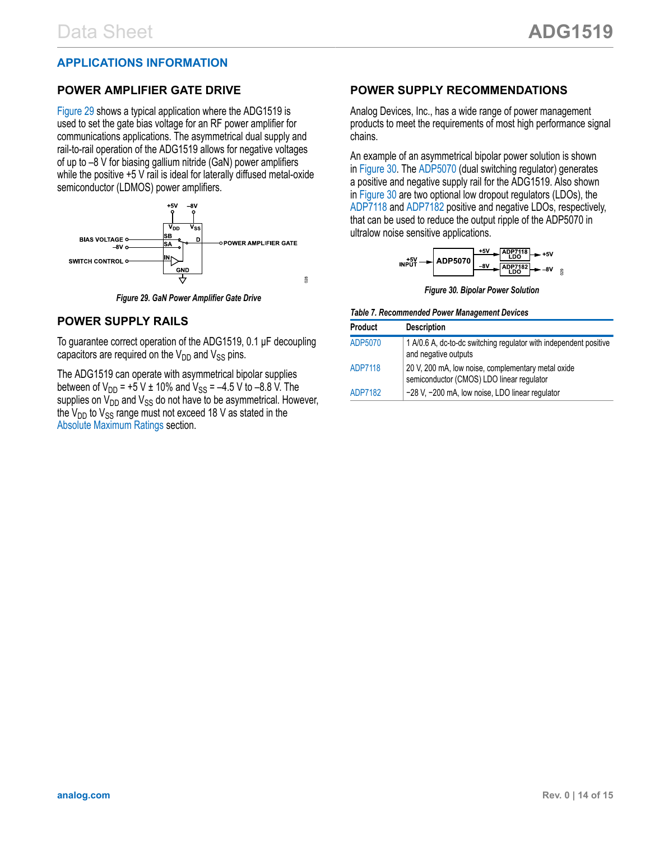#### <span id="page-13-0"></span>**APPLICATIONS INFORMATION**

#### **POWER AMPLIFIER GATE DRIVE**

Figure 29 shows a typical application where the ADG1519 is used to set the gate bias voltage for an RF power amplifier for communications applications. The asymmetrical dual supply and rail-to-rail operation of the ADG1519 allows for negative voltages of up to –8 V for biasing gallium nitride (GaN) power amplifiers while the positive +5 V rail is ideal for laterally diffused metal-oxide semiconductor (LDMOS) power amplifiers.



*Figure 29. GaN Power Amplifier Gate Drive*

#### **POWER SUPPLY RAILS**

To guarantee correct operation of the ADG1519, 0.1 µF decoupling capacitors are required on the  $V_{DD}$  and  $V_{SS}$  pins.

The ADG1519 can operate with asymmetrical bipolar supplies between of  $V_{DD}$  = +5 V ± 10% and  $V_{SS}$  = -4.5 V to -8.8 V. The supplies on  $V_{DD}$  and  $V_{SS}$  do not have to be asymmetrical. However, the  $V_{\text{DD}}$  to  $V_{\text{SS}}$  range must not exceed 18 V as stated in the [Absolute Maximum Ratings](#page-4-0) section.

#### **POWER SUPPLY RECOMMENDATIONS**

Analog Devices, Inc., has a wide range of power management products to meet the requirements of most high performance signal chains.

An example of an asymmetrical bipolar power solution is shown in Figure 30. The [ADP5070](https://www.analog.com/ADP5070) (dual switching regulator) generates a positive and negative supply rail for the ADG1519. Also shown in Figure 30 are two optional low dropout regulators (LDOs), the [ADP7118](https://www.analog.com/ADP7118) and [ADP7182](https://www.analog.com/ADP7182) positive and negative LDOs, respectively, that can be used to reduce the output ripple of the ADP5070 in ultralow noise sensitive applications.

$$
NPUT \rightarrow \text{ADP}5070 \xrightarrow{-8V} \text{ADP}7118 + 5V
$$
\n
$$
NPUT \rightarrow \text{ADP}5070 \xrightarrow{-8V} \text{ADP}7182 + 5V
$$

*Figure 30. Bipolar Power Solution*

#### *Table 7. Recommended Power Management Devices*

| <b>Product</b> | <b>Description</b>                                                                              |
|----------------|-------------------------------------------------------------------------------------------------|
| ADP5070        | 1 A/0.6 A, dc-to-dc switching regulator with independent positive<br>and negative outputs       |
| ADP7118        | 20 V, 200 mA, low noise, complementary metal oxide<br>semiconductor (CMOS) LDO linear regulator |
| ADP7182        | -28 V, -200 mA, low noise, LDO linear regulator                                                 |